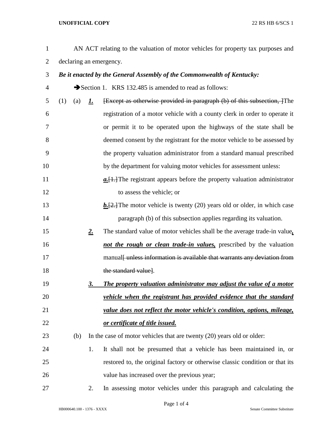## **UNOFFICIAL COPY** 22 RS HB 6/SCS 1

| $\mathbf{1}$   |                         |             | AN ACT relating to the valuation of motor vehicles for property tax purposes and          |  |  |
|----------------|-------------------------|-------------|-------------------------------------------------------------------------------------------|--|--|
| $\overline{2}$ | declaring an emergency. |             |                                                                                           |  |  |
| 3              |                         |             | Be it enacted by the General Assembly of the Commonwealth of Kentucky:                    |  |  |
| 4              |                         |             | Section 1. KRS 132.485 is amended to read as follows:                                     |  |  |
| 5              | (1)<br>(a)              | <u>1.</u>   | <b>Except as otherwise provided in paragraph (b) of this subsection, The</b>              |  |  |
| 6              |                         |             | registration of a motor vehicle with a county clerk in order to operate it                |  |  |
| 7              |                         |             | or permit it to be operated upon the highways of the state shall be                       |  |  |
| 8              |                         |             | deemed consent by the registrant for the motor vehicle to be assessed by                  |  |  |
| 9              |                         |             | the property valuation administrator from a standard manual prescribed                    |  |  |
| 10             |                         |             | by the department for valuing motor vehicles for assessment unless:                       |  |  |
| 11             |                         |             | $a$ . $[1,1]$ The registrant appears before the property valuation administrator          |  |  |
| 12             |                         |             | to assess the vehicle; or                                                                 |  |  |
| 13             |                         |             | $\underline{b}$ . [2.] The motor vehicle is twenty (20) years old or older, in which case |  |  |
| 14             |                         |             | paragraph (b) of this subsection applies regarding its valuation.                         |  |  |
| 15             |                         | $2_{\cdot}$ | The standard value of motor vehicles shall be the average trade-in value,                 |  |  |
| 16             |                         |             | not the rough or clean trade-in values, prescribed by the valuation                       |  |  |
| 17             |                         |             | manual unless information is available that warrants any deviation from                   |  |  |
| 18             |                         |             | the standard value].                                                                      |  |  |
| 19             |                         | 3.          | The property valuation administrator may adjust the value of a motor                      |  |  |
| 20             |                         |             | vehicle when the registrant has provided evidence that the standard                       |  |  |
| 21             |                         |             | value does not reflect the motor vehicle's condition, options, mileage,                   |  |  |
| 22             |                         |             | or certificate of title issued.                                                           |  |  |
| 23             | (b)                     |             | In the case of motor vehicles that are twenty $(20)$ years old or older:                  |  |  |
| 24             |                         | 1.          | It shall not be presumed that a vehicle has been maintained in, or                        |  |  |
| 25             |                         |             | restored to, the original factory or otherwise classic condition or that its              |  |  |
| 26             |                         |             | value has increased over the previous year;                                               |  |  |
| 27             |                         | 2.          | In assessing motor vehicles under this paragraph and calculating the                      |  |  |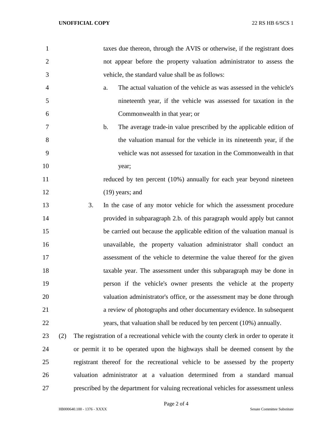| $\mathbf{1}$   |     |    | taxes due thereon, through the AVIS or otherwise, if the registrant does                |
|----------------|-----|----|-----------------------------------------------------------------------------------------|
| $\overline{2}$ |     |    | not appear before the property valuation administrator to assess the                    |
| 3              |     |    | vehicle, the standard value shall be as follows:                                        |
| 4              |     |    | The actual valuation of the vehicle as was assessed in the vehicle's<br>a.              |
| 5              |     |    | nineteenth year, if the vehicle was assessed for taxation in the                        |
| 6              |     |    | Commonwealth in that year; or                                                           |
| 7              |     |    | The average trade-in value prescribed by the applicable edition of<br>$\mathbf b$ .     |
| 8              |     |    | the valuation manual for the vehicle in its nineteenth year, if the                     |
| 9              |     |    | vehicle was not assessed for taxation in the Commonwealth in that                       |
| 10             |     |    | year;                                                                                   |
| 11             |     |    | reduced by ten percent (10%) annually for each year beyond nineteen                     |
| 12             |     |    | $(19)$ years; and                                                                       |
| 13             |     | 3. | In the case of any motor vehicle for which the assessment procedure                     |
| 14             |     |    | provided in subparagraph 2.b. of this paragraph would apply but cannot                  |
| 15             |     |    | be carried out because the applicable edition of the valuation manual is                |
| 16             |     |    | unavailable, the property valuation administrator shall conduct an                      |
| 17             |     |    | assessment of the vehicle to determine the value thereof for the given                  |
| 18             |     |    | taxable year. The assessment under this subparagraph may be done in                     |
| 19             |     |    | person if the vehicle's owner presents the vehicle at the property                      |
| 20             |     |    | valuation administrator's office, or the assessment may be done through                 |
| 21             |     |    | a review of photographs and other documentary evidence. In subsequent                   |
| 22             |     |    | years, that valuation shall be reduced by ten percent (10%) annually.                   |
| 23             | (2) |    | The registration of a recreational vehicle with the county clerk in order to operate it |
| 24             |     |    | or permit it to be operated upon the highways shall be deemed consent by the            |
| 25             |     |    | registrant thereof for the recreational vehicle to be assessed by the property          |
| 26             |     |    | valuation administrator at a valuation determined from a standard manual                |
| 27             |     |    | prescribed by the department for valuing recreational vehicles for assessment unless    |

Page 2 of 4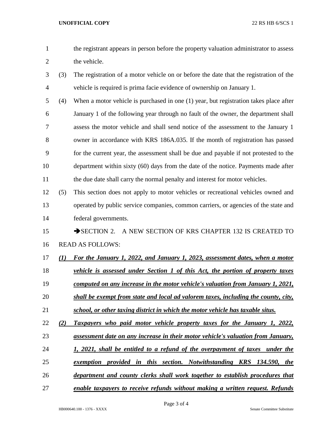- the registrant appears in person before the property valuation administrator to assess 2 the vehicle.
- (3) The registration of a motor vehicle on or before the date that the registration of the vehicle is required is prima facie evidence of ownership on January 1.
- (4) When a motor vehicle is purchased in one (1) year, but registration takes place after January 1 of the following year through no fault of the owner, the department shall assess the motor vehicle and shall send notice of the assessment to the January 1 owner in accordance with KRS 186A.035. If the month of registration has passed for the current year, the assessment shall be due and payable if not protested to the department within sixty (60) days from the date of the notice. Payments made after 11 the due date shall carry the normal penalty and interest for motor vehicles.
- (5) This section does not apply to motor vehicles or recreational vehicles owned and operated by public service companies, common carriers, or agencies of the state and federal governments.

15 SECTION 2. A NEW SECTION OF KRS CHAPTER 132 IS CREATED TO READ AS FOLLOWS:

- *(1) For the January 1, 2022, and January 1, 2023, assessment dates, when a motor*
- *vehicle is assessed under Section 1 of this Act, the portion of property taxes*
- *computed on any increase in the motor vehicle's valuation from January 1, 2021,*
- *shall be exempt from state and local ad valorem taxes, including the county, city,*
- *school, or other taxing district in which the motor vehicle has taxable situs.*
- *(2) Taxpayers who paid motor vehicle property taxes for the January 1, 2022,*
- *assessment date on any increase in their motor vehicle's valuation from January,*
- *1, 2021, shall be entitled to a refund of the overpayment of taxes under the*
- *exemption provided in this section. Notwithstanding KRS 134.590, the*
- *department and county clerks shall work together to establish procedures that*
- *enable taxpayers to receive refunds without making a written request. Refunds*